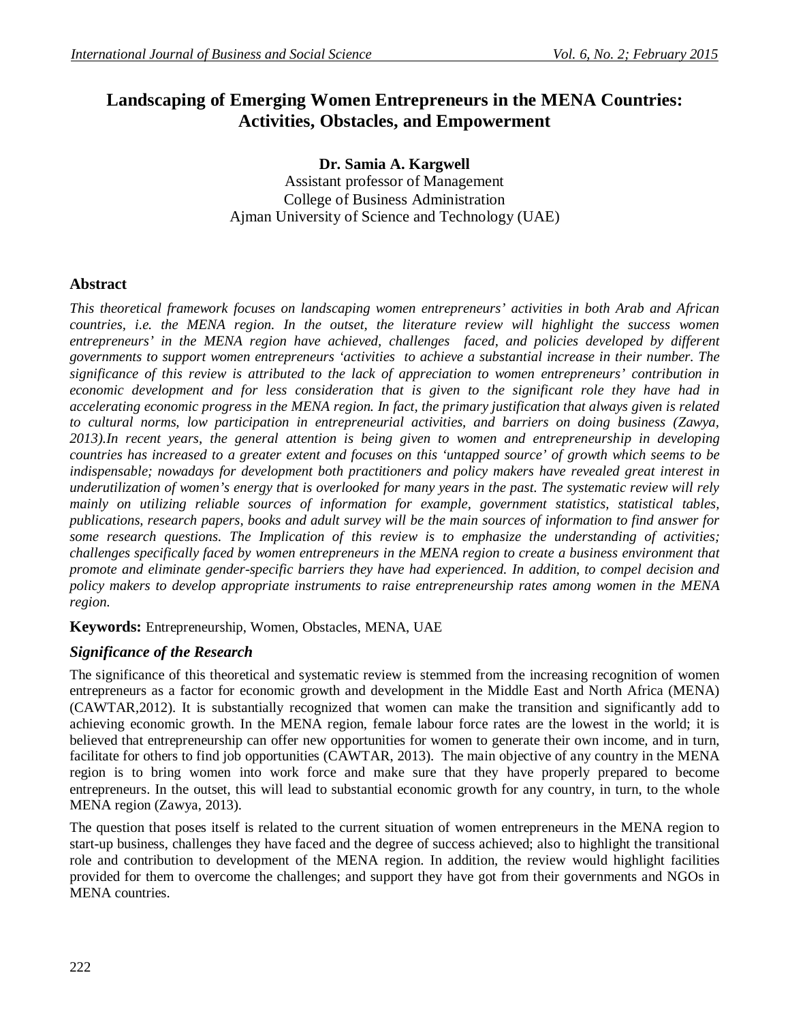# **Landscaping of Emerging Women Entrepreneurs in the MENA Countries: Activities, Obstacles, and Empowerment**

**Dr. Samia A. Kargwell** Assistant professor of Management College of Business Administration Ajman University of Science and Technology (UAE)

## **Abstract**

*This theoretical framework focuses on landscaping women entrepreneurs' activities in both Arab and African countries, i.e. the MENA region. In the outset, the literature review will highlight the success women entrepreneurs' in the MENA region have achieved, challenges faced, and policies developed by different governments to support women entrepreneurs 'activities to achieve a substantial increase in their number. The significance of this review is attributed to the lack of appreciation to women entrepreneurs' contribution in economic development and for less consideration that is given to the significant role they have had in accelerating economic progress in the MENA region. In fact, the primary justification that always given is related to cultural norms, low participation in entrepreneurial activities, and barriers on doing business (Zawya, 2013).In recent years, the general attention is being given to women and entrepreneurship in developing countries has increased to a greater extent and focuses on this 'untapped source' of growth which seems to be indispensable; nowadays for development both practitioners and policy makers have revealed great interest in underutilization of women's energy that is overlooked for many years in the past. The systematic review will rely mainly on utilizing reliable sources of information for example, government statistics, statistical tables, publications, research papers, books and adult survey will be the main sources of information to find answer for some research questions. The Implication of this review is to emphasize the understanding of activities; challenges specifically faced by women entrepreneurs in the MENA region to create a business environment that promote and eliminate gender-specific barriers they have had experienced. In addition, to compel decision and policy makers to develop appropriate instruments to raise entrepreneurship rates among women in the MENA region.*

**Keywords:** Entrepreneurship, Women, Obstacles, MENA, UAE

## *Significance of the Research*

The significance of this theoretical and systematic review is stemmed from the increasing recognition of women entrepreneurs as a factor for economic growth and development in the Middle East and North Africa (MENA) (CAWTAR,2012). It is substantially recognized that women can make the transition and significantly add to achieving economic growth. In the MENA region, female labour force rates are the lowest in the world; it is believed that entrepreneurship can offer new opportunities for women to generate their own income, and in turn, facilitate for others to find job opportunities (CAWTAR, 2013). The main objective of any country in the MENA region is to bring women into work force and make sure that they have properly prepared to become entrepreneurs. In the outset, this will lead to substantial economic growth for any country, in turn, to the whole MENA region (Zawya, 2013).

The question that poses itself is related to the current situation of women entrepreneurs in the MENA region to start-up business, challenges they have faced and the degree of success achieved; also to highlight the transitional role and contribution to development of the MENA region. In addition, the review would highlight facilities provided for them to overcome the challenges; and support they have got from their governments and NGOs in MENA countries.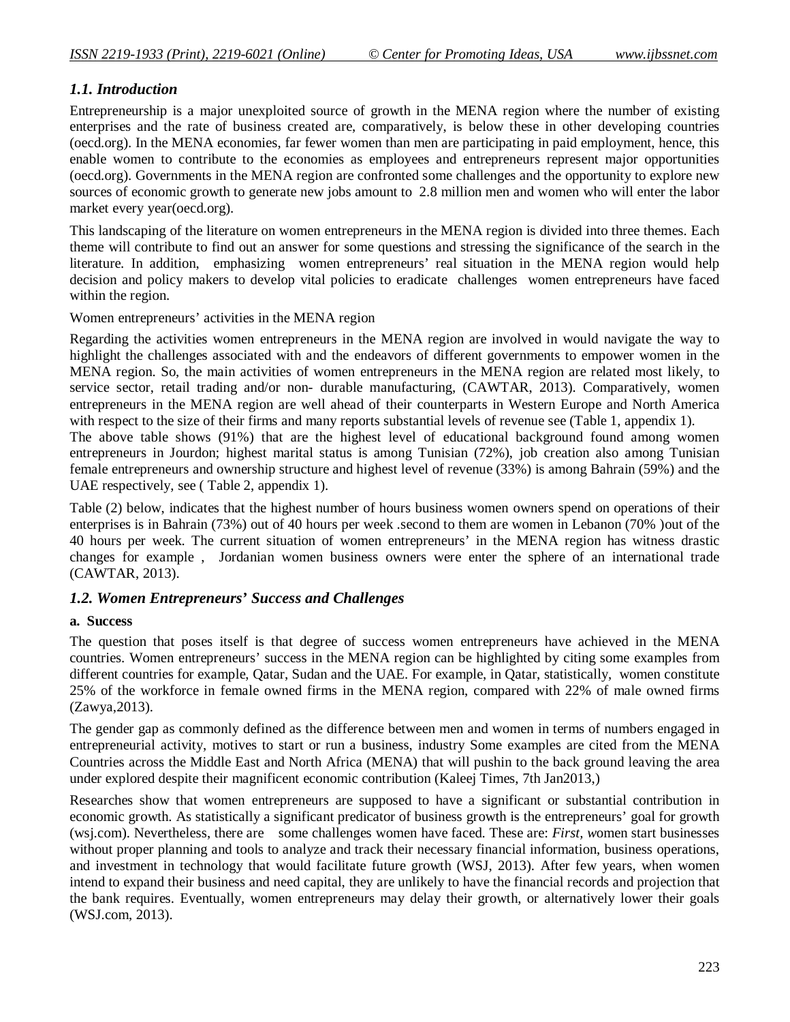## *1.1. Introduction*

Entrepreneurship is a major unexploited source of growth in the MENA region where the number of existing enterprises and the rate of business created are, comparatively, is below these in other developing countries (oecd.org). In the MENA economies, far fewer women than men are participating in paid employment, hence, this enable women to contribute to the economies as employees and entrepreneurs represent major opportunities (oecd.org). Governments in the MENA region are confronted some challenges and the opportunity to explore new sources of economic growth to generate new jobs amount to 2.8 million men and women who will enter the labor market every year(oecd.org).

This landscaping of the literature on women entrepreneurs in the MENA region is divided into three themes. Each theme will contribute to find out an answer for some questions and stressing the significance of the search in the literature. In addition, emphasizing women entrepreneurs' real situation in the MENA region would help decision and policy makers to develop vital policies to eradicate challenges women entrepreneurs have faced within the region.

Women entrepreneurs' activities in the MENA region

Regarding the activities women entrepreneurs in the MENA region are involved in would navigate the way to highlight the challenges associated with and the endeavors of different governments to empower women in the MENA region. So, the main activities of women entrepreneurs in the MENA region are related most likely, to service sector, retail trading and/or non- durable manufacturing, (CAWTAR, 2013). Comparatively, women entrepreneurs in the MENA region are well ahead of their counterparts in Western Europe and North America with respect to the size of their firms and many reports substantial levels of revenue see (Table 1, appendix 1).

The above table shows (91%) that are the highest level of educational background found among women entrepreneurs in Jourdon; highest marital status is among Tunisian (72%), job creation also among Tunisian female entrepreneurs and ownership structure and highest level of revenue (33%) is among Bahrain (59%) and the UAE respectively, see ( Table 2, appendix 1).

Table (2) below, indicates that the highest number of hours business women owners spend on operations of their enterprises is in Bahrain (73%) out of 40 hours per week .second to them are women in Lebanon (70% )out of the 40 hours per week. The current situation of women entrepreneurs' in the MENA region has witness drastic changes for example , Jordanian women business owners were enter the sphere of an international trade (CAWTAR, 2013).

## *1.2. Women Entrepreneurs' Success and Challenges*

## **a. Success**

The question that poses itself is that degree of success women entrepreneurs have achieved in the MENA countries. Women entrepreneurs' success in the MENA region can be highlighted by citing some examples from different countries for example, Qatar, Sudan and the UAE. For example, in Qatar, statistically, women constitute 25% of the workforce in female owned firms in the MENA region, compared with 22% of male owned firms (Zawya,2013).

The gender gap as commonly defined as the difference between men and women in terms of numbers engaged in entrepreneurial activity, motives to start or run a business, industry Some examples are cited from the MENA Countries across the Middle East and North Africa (MENA) that will pushin to the back ground leaving the area under explored despite their magnificent economic contribution (Kaleej Times, 7th Jan2013,)

Researches show that women entrepreneurs are supposed to have a significant or substantial contribution in economic growth. As statistically a significant predicator of business growth is the entrepreneurs' goal for growth (wsj.com). Nevertheless, there are some challenges women have faced. These are: *First, w*omen start businesses without proper planning and tools to analyze and track their necessary financial information, business operations, and investment in technology that would facilitate future growth (WSJ, 2013). After few years, when women intend to expand their business and need capital, they are unlikely to have the financial records and projection that the bank requires. Eventually, women entrepreneurs may delay their growth, or alternatively lower their goals (WSJ.com, 2013).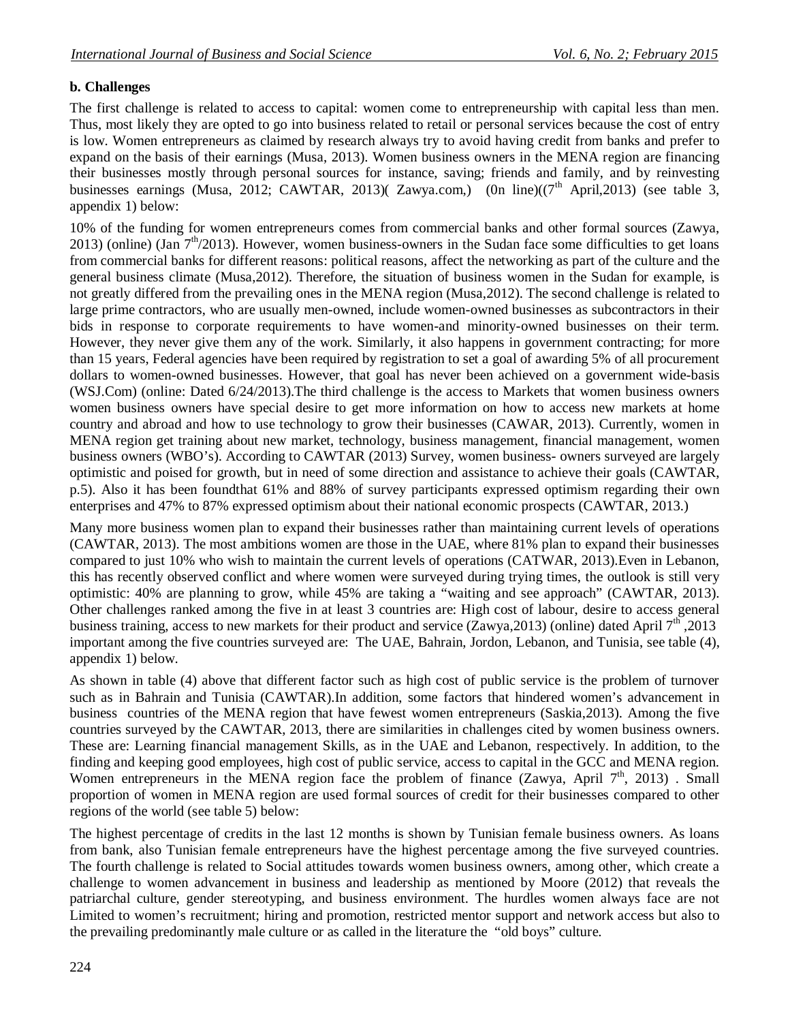## **b. Challenges**

The first challenge is related to access to capital: women come to entrepreneurship with capital less than men. Thus, most likely they are opted to go into business related to retail or personal services because the cost of entry is low. Women entrepreneurs as claimed by research always try to avoid having credit from banks and prefer to expand on the basis of their earnings (Musa, 2013). Women business owners in the MENA region are financing their businesses mostly through personal sources for instance, saving; friends and family, and by reinvesting businesses earnings (Musa, 2012; CAWTAR, 2013)( Zawya.com,) (0n line)( $(7<sup>th</sup>$  April,2013) (see table 3, appendix 1) below:

10% of the funding for women entrepreneurs comes from commercial banks and other formal sources (Zawya, 2013) (online) (Jan  $7<sup>th</sup>/2013$ ). However, women business-owners in the Sudan face some difficulties to get loans from commercial banks for different reasons: political reasons, affect the networking as part of the culture and the general business climate (Musa,2012). Therefore, the situation of business women in the Sudan for example, is not greatly differed from the prevailing ones in the MENA region (Musa,2012). The second challenge is related to large prime contractors, who are usually men-owned, include women-owned businesses as subcontractors in their bids in response to corporate requirements to have women-and minority-owned businesses on their term. However, they never give them any of the work. Similarly, it also happens in government contracting; for more than 15 years, Federal agencies have been required by registration to set a goal of awarding 5% of all procurement dollars to women-owned businesses. However, that goal has never been achieved on a government wide-basis (WSJ.Com) (online: Dated 6/24/2013).The third challenge is the access to Markets that women business owners women business owners have special desire to get more information on how to access new markets at home country and abroad and how to use technology to grow their businesses (CAWAR, 2013). Currently, women in MENA region get training about new market, technology, business management, financial management, women business owners (WBO's). According to CAWTAR (2013) Survey, women business- owners surveyed are largely optimistic and poised for growth, but in need of some direction and assistance to achieve their goals (CAWTAR, p.5). Also it has been foundthat 61% and 88% of survey participants expressed optimism regarding their own enterprises and 47% to 87% expressed optimism about their national economic prospects (CAWTAR, 2013.)

Many more business women plan to expand their businesses rather than maintaining current levels of operations (CAWTAR, 2013). The most ambitions women are those in the UAE, where 81% plan to expand their businesses compared to just 10% who wish to maintain the current levels of operations (CATWAR, 2013).Even in Lebanon, this has recently observed conflict and where women were surveyed during trying times, the outlook is still very optimistic: 40% are planning to grow, while 45% are taking a "waiting and see approach" (CAWTAR, 2013). Other challenges ranked among the five in at least 3 countries are: High cost of labour, desire to access general business training, access to new markets for their product and service (Zawya, 2013) (online) dated April  $7<sup>th</sup>$ , 2013 important among the five countries surveyed are: The UAE, Bahrain, Jordon, Lebanon, and Tunisia, see table (4), appendix 1) below.

As shown in table (4) above that different factor such as high cost of public service is the problem of turnover such as in Bahrain and Tunisia (CAWTAR).In addition, some factors that hindered women's advancement in business countries of the MENA region that have fewest women entrepreneurs (Saskia,2013). Among the five countries surveyed by the CAWTAR, 2013, there are similarities in challenges cited by women business owners. These are: Learning financial management Skills, as in the UAE and Lebanon, respectively. In addition, to the finding and keeping good employees, high cost of public service, access to capital in the GCC and MENA region. Women entrepreneurs in the MENA region face the problem of finance (Zawya, April  $7<sup>th</sup>$ , 2013). Small proportion of women in MENA region are used formal sources of credit for their businesses compared to other regions of the world (see table 5) below:

The highest percentage of credits in the last 12 months is shown by Tunisian female business owners. As loans from bank, also Tunisian female entrepreneurs have the highest percentage among the five surveyed countries. The fourth challenge is related to Social attitudes towards women business owners, among other, which create a challenge to women advancement in business and leadership as mentioned by Moore (2012) that reveals the patriarchal culture, gender stereotyping, and business environment. The hurdles women always face are not Limited to women's recruitment; hiring and promotion, restricted mentor support and network access but also to the prevailing predominantly male culture or as called in the literature the "old boys" culture.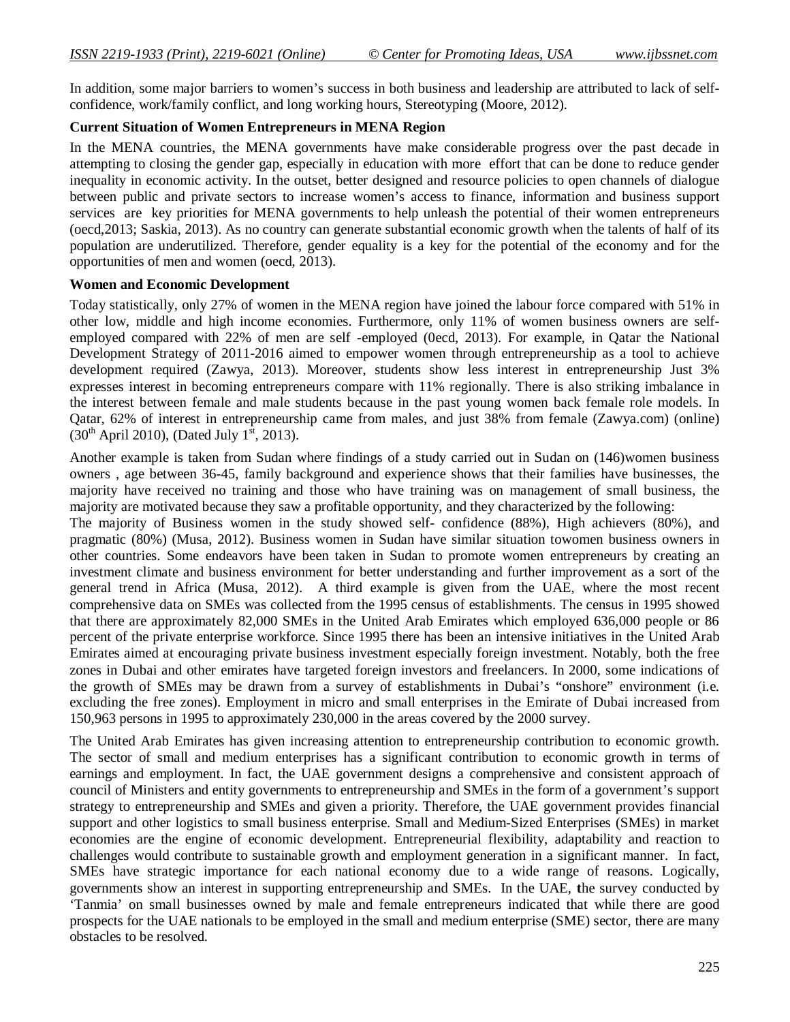In addition, some major barriers to women's success in both business and leadership are attributed to lack of selfconfidence, work/family conflict, and long working hours, Stereotyping (Moore, 2012).

### **Current Situation of Women Entrepreneurs in MENA Region**

In the MENA countries, the MENA governments have make considerable progress over the past decade in attempting to closing the gender gap, especially in education with more effort that can be done to reduce gender inequality in economic activity. In the outset, better designed and resource policies to open channels of dialogue between public and private sectors to increase women's access to finance, information and business support services are key priorities for MENA governments to help unleash the potential of their women entrepreneurs (oecd,2013; Saskia, 2013). As no country can generate substantial economic growth when the talents of half of its population are underutilized. Therefore, gender equality is a key for the potential of the economy and for the opportunities of men and women (oecd, 2013).

### **Women and Economic Development**

Today statistically, only 27% of women in the MENA region have joined the labour force compared with 51% in other low, middle and high income economies. Furthermore, only 11% of women business owners are selfemployed compared with 22% of men are self -employed (0ecd, 2013). For example, in Qatar the National Development Strategy of 2011-2016 aimed to empower women through entrepreneurship as a tool to achieve development required (Zawya, 2013). Moreover, students show less interest in entrepreneurship Just 3% expresses interest in becoming entrepreneurs compare with 11% regionally. There is also striking imbalance in the interest between female and male students because in the past young women back female role models. In Qatar, 62% of interest in entrepreneurship came from males, and just 38% from female (Zawya.com) (online)  $(30<sup>th</sup>$  April 2010), (Dated July 1<sup>st</sup>, 2013).

Another example is taken from Sudan where findings of a study carried out in Sudan on (146)women business owners , age between 36-45, family background and experience shows that their families have businesses, the majority have received no training and those who have training was on management of small business, the majority are motivated because they saw a profitable opportunity, and they characterized by the following:

The majority of Business women in the study showed self- confidence (88%), High achievers (80%), and pragmatic (80%) (Musa, 2012). Business women in Sudan have similar situation towomen business owners in other countries. Some endeavors have been taken in Sudan to promote women entrepreneurs by creating an investment climate and business environment for better understanding and further improvement as a sort of the general trend in Africa (Musa, 2012). A third example is given from the UAE, where the most recent comprehensive data on SMEs was collected from the 1995 census of establishments. The census in 1995 showed that there are approximately 82,000 SMEs in the United Arab Emirates which employed 636,000 people or 86 percent of the private enterprise workforce. Since 1995 there has been an intensive initiatives in the United Arab Emirates aimed at encouraging private business investment especially foreign investment. Notably, both the free zones in Dubai and other emirates have targeted foreign investors and freelancers. In 2000, some indications of the growth of SMEs may be drawn from a survey of establishments in Dubai's "onshore" environment (i.e. excluding the free zones). Employment in micro and small enterprises in the Emirate of Dubai increased from 150,963 persons in 1995 to approximately 230,000 in the areas covered by the 2000 survey.

The United Arab Emirates has given increasing attention to entrepreneurship contribution to economic growth. The sector of small and medium enterprises has a significant contribution to economic growth in terms of earnings and employment. In fact, the UAE government designs a comprehensive and consistent approach of council of Ministers and entity governments to entrepreneurship and SMEs in the form of a government's support strategy to entrepreneurship and SMEs and given a priority. Therefore, the UAE government provides financial support and other logistics to small business enterprise. Small and Medium-Sized Enterprises (SMEs) in market economies are the engine of economic development. Entrepreneurial flexibility, adaptability and reaction to challenges would contribute to sustainable growth and employment generation in a significant manner. In fact, SMEs have strategic importance for each national economy due to a wide range of reasons. Logically, governments show an interest in supporting entrepreneurship and SMEs. In the UAE, **t**he survey conducted by 'Tanmia' on small businesses owned by male and female entrepreneurs indicated that while there are good prospects for the UAE nationals to be employed in the small and medium enterprise (SME) sector, there are many obstacles to be resolved.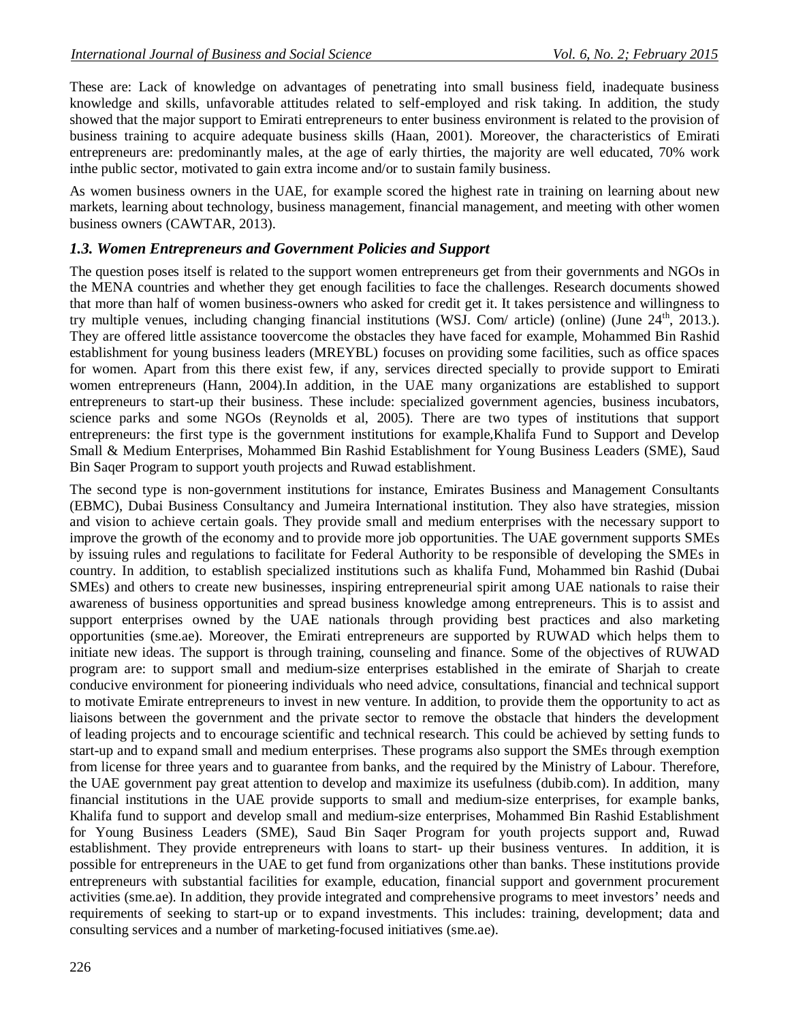These are: Lack of knowledge on advantages of penetrating into small business field, inadequate business knowledge and skills, unfavorable attitudes related to self-employed and risk taking. In addition, the study showed that the major support to Emirati entrepreneurs to enter business environment is related to the provision of business training to acquire adequate business skills (Haan, 2001). Moreover, the characteristics of Emirati entrepreneurs are: predominantly males, at the age of early thirties, the majority are well educated, 70% work inthe public sector, motivated to gain extra income and/or to sustain family business.

As women business owners in the UAE, for example scored the highest rate in training on learning about new markets, learning about technology, business management, financial management, and meeting with other women business owners (CAWTAR, 2013).

## *1.3. Women Entrepreneurs and Government Policies and Support*

The question poses itself is related to the support women entrepreneurs get from their governments and NGOs in the MENA countries and whether they get enough facilities to face the challenges. Research documents showed that more than half of women business-owners who asked for credit get it. It takes persistence and willingness to try multiple venues, including changing financial institutions (WSJ. Com/ article) (online) (June 24th, 2013.). They are offered little assistance toovercome the obstacles they have faced for example, Mohammed Bin Rashid establishment for young business leaders (MREYBL) focuses on providing some facilities, such as office spaces for women. Apart from this there exist few, if any, services directed specially to provide support to Emirati women entrepreneurs (Hann, 2004).In addition, in the UAE many organizations are established to support entrepreneurs to start-up their business. These include: specialized government agencies, business incubators, science parks and some NGOs (Reynolds et al, 2005). There are two types of institutions that support entrepreneurs: the first type is the government institutions for example,Khalifa Fund to Support and Develop Small & Medium Enterprises, Mohammed Bin Rashid Establishment for Young Business Leaders (SME), Saud Bin Saqer Program to support youth projects and Ruwad establishment.

The second type is non-government institutions for instance, Emirates Business and Management Consultants (EBMC), Dubai Business Consultancy and Jumeira International institution. They also have strategies, mission and vision to achieve certain goals. They provide small and medium enterprises with the necessary support to improve the growth of the economy and to provide more job opportunities. The UAE government supports SMEs by issuing rules and regulations to facilitate for Federal Authority to be responsible of developing the SMEs in country. In addition, to establish specialized institutions such as khalifa Fund, Mohammed bin Rashid (Dubai SMEs) and others to create new businesses, inspiring entrepreneurial spirit among UAE nationals to raise their awareness of business opportunities and spread business knowledge among entrepreneurs. This is to assist and support enterprises owned by the UAE nationals through providing best practices and also marketing opportunities (sme.ae). Moreover, the Emirati entrepreneurs are supported by RUWAD which helps them to initiate new ideas. The support is through training, counseling and finance. Some of the objectives of RUWAD program are: to support small and medium-size enterprises established in the emirate of Sharjah to create conducive environment for pioneering individuals who need advice, consultations, financial and technical support to motivate Emirate entrepreneurs to invest in new venture. In addition, to provide them the opportunity to act as liaisons between the government and the private sector to remove the obstacle that hinders the development of leading projects and to encourage scientific and technical research. This could be achieved by setting funds to start-up and to expand small and medium enterprises. These programs also support the SMEs through exemption from license for three years and to guarantee from banks, and the required by the Ministry of Labour. Therefore, the UAE government pay great attention to develop and maximize its usefulness (dubib.com). In addition, many financial institutions in the UAE provide supports to small and medium-size enterprises, for example banks, Khalifa fund to support and develop small and medium-size enterprises, Mohammed Bin Rashid Establishment for Young Business Leaders (SME), Saud Bin Saqer Program for youth projects support and, Ruwad establishment. They provide entrepreneurs with loans to start- up their business ventures. In addition, it is possible for entrepreneurs in the UAE to get fund from organizations other than banks. These institutions provide entrepreneurs with substantial facilities for example, education, financial support and government procurement activities (sme.ae). In addition, they provide integrated and comprehensive programs to meet investors' needs and requirements of seeking to start-up or to expand investments. This includes: training, development; data and consulting services and a number of marketing-focused initiatives (sme.ae).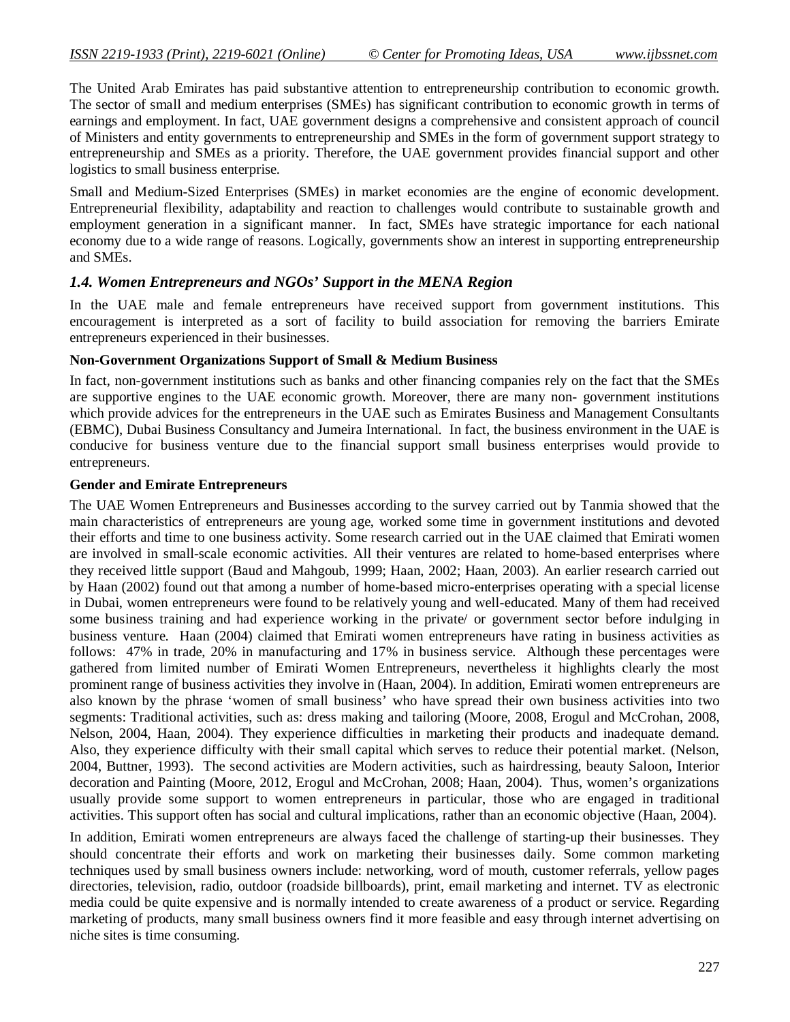The United Arab Emirates has paid substantive attention to entrepreneurship contribution to economic growth. The sector of small and medium enterprises (SMEs) has significant contribution to economic growth in terms of earnings and employment. In fact, UAE government designs a comprehensive and consistent approach of council of Ministers and entity governments to entrepreneurship and SMEs in the form of government support strategy to entrepreneurship and SMEs as a priority. Therefore, the UAE government provides financial support and other logistics to small business enterprise.

Small and Medium-Sized Enterprises (SMEs) in market economies are the engine of economic development. Entrepreneurial flexibility, adaptability and reaction to challenges would contribute to sustainable growth and employment generation in a significant manner. In fact, SMEs have strategic importance for each national economy due to a wide range of reasons. Logically, governments show an interest in supporting entrepreneurship and SMEs.

### *1.4. Women Entrepreneurs and NGOs' Support in the MENA Region*

In the UAE male and female entrepreneurs have received support from government institutions. This encouragement is interpreted as a sort of facility to build association for removing the barriers Emirate entrepreneurs experienced in their businesses.

### **Non-Government Organizations Support of Small & Medium Business**

In fact, non-government institutions such as banks and other financing companies rely on the fact that the SMEs are supportive engines to the UAE economic growth. Moreover, there are many non- government institutions which provide advices for the entrepreneurs in the UAE such as Emirates Business and Management Consultants (EBMC), Dubai Business Consultancy and Jumeira International. In fact, the business environment in the UAE is conducive for business venture due to the financial support small business enterprises would provide to entrepreneurs.

### **Gender and Emirate Entrepreneurs**

The UAE Women Entrepreneurs and Businesses according to the survey carried out by Tanmia showed that the main characteristics of entrepreneurs are young age, worked some time in government institutions and devoted their efforts and time to one business activity. Some research carried out in the UAE claimed that Emirati women are involved in small-scale economic activities. All their ventures are related to home-based enterprises where they received little support (Baud and Mahgoub, 1999; Haan, 2002; Haan, 2003). An earlier research carried out by Haan (2002) found out that among a number of home-based micro-enterprises operating with a special license in Dubai, women entrepreneurs were found to be relatively young and well-educated. Many of them had received some business training and had experience working in the private/ or government sector before indulging in business venture. Haan (2004) claimed that Emirati women entrepreneurs have rating in business activities as follows: 47% in trade, 20% in manufacturing and 17% in business service. Although these percentages were gathered from limited number of Emirati Women Entrepreneurs, nevertheless it highlights clearly the most prominent range of business activities they involve in (Haan, 2004). In addition, Emirati women entrepreneurs are also known by the phrase 'women of small business' who have spread their own business activities into two segments: Traditional activities, such as: dress making and tailoring (Moore, 2008, Erogul and McCrohan, 2008, Nelson, 2004, Haan, 2004). They experience difficulties in marketing their products and inadequate demand. Also, they experience difficulty with their small capital which serves to reduce their potential market. (Nelson, 2004, Buttner, 1993). The second activities are Modern activities, such as hairdressing, beauty Saloon, Interior decoration and Painting (Moore, 2012, Erogul and McCrohan, 2008; Haan, 2004). Thus, women's organizations usually provide some support to women entrepreneurs in particular, those who are engaged in traditional activities. This support often has social and cultural implications, rather than an economic objective (Haan, 2004).

In addition, Emirati women entrepreneurs are always faced the challenge of starting-up their businesses. They should concentrate their efforts and work on marketing their businesses daily. Some common marketing techniques used by small business owners include: networking, word of mouth, customer referrals, yellow pages directories, television, radio, outdoor (roadside billboards), print, email marketing and internet. TV as electronic media could be quite expensive and is normally intended to create awareness of a product or service. Regarding marketing of products, many small business owners find it more feasible and easy through internet advertising on niche sites is time consuming.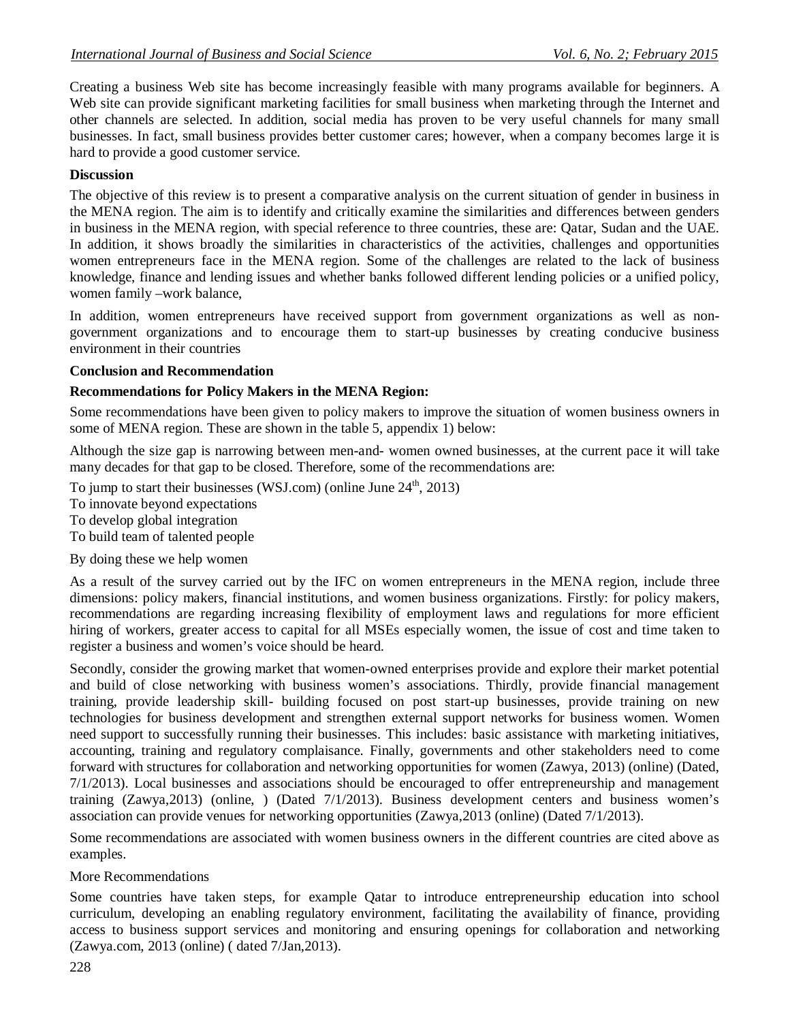Creating a business Web site has become increasingly feasible with many programs available for beginners. A Web site can provide significant marketing facilities for small business when marketing through the Internet and other channels are selected. In addition, social media has proven to be very useful channels for many small businesses. In fact, small business provides better customer cares; however, when a company becomes large it is hard to provide a good customer service.

## **Discussion**

The objective of this review is to present a comparative analysis on the current situation of gender in business in the MENA region. The aim is to identify and critically examine the similarities and differences between genders in business in the MENA region, with special reference to three countries, these are: Qatar, Sudan and the UAE. In addition, it shows broadly the similarities in characteristics of the activities, challenges and opportunities women entrepreneurs face in the MENA region. Some of the challenges are related to the lack of business knowledge, finance and lending issues and whether banks followed different lending policies or a unified policy, women family –work balance,

In addition, women entrepreneurs have received support from government organizations as well as nongovernment organizations and to encourage them to start-up businesses by creating conducive business environment in their countries

### **Conclusion and Recommendation**

### **Recommendations for Policy Makers in the MENA Region:**

Some recommendations have been given to policy makers to improve the situation of women business owners in some of MENA region. These are shown in the table 5, appendix 1) below:

Although the size gap is narrowing between men-and- women owned businesses, at the current pace it will take many decades for that gap to be closed. Therefore, some of the recommendations are:

To jump to start their businesses (WSJ.com) (online June  $24<sup>th</sup>$ , 2013)

To innovate beyond expectations

To develop global integration

To build team of talented people

By doing these we help women

As a result of the survey carried out by the IFC on women entrepreneurs in the MENA region, include three dimensions: policy makers, financial institutions, and women business organizations. Firstly: for policy makers, recommendations are regarding increasing flexibility of employment laws and regulations for more efficient hiring of workers, greater access to capital for all MSEs especially women, the issue of cost and time taken to register a business and women's voice should be heard.

Secondly, consider the growing market that women-owned enterprises provide and explore their market potential and build of close networking with business women's associations. Thirdly, provide financial management training, provide leadership skill- building focused on post start-up businesses, provide training on new technologies for business development and strengthen external support networks for business women. Women need support to successfully running their businesses. This includes: basic assistance with marketing initiatives, accounting, training and regulatory complaisance. Finally, governments and other stakeholders need to come forward with structures for collaboration and networking opportunities for women (Zawya, 2013) (online) (Dated, 7/1/2013). Local businesses and associations should be encouraged to offer entrepreneurship and management training (Zawya,2013) (online, ) (Dated 7/1/2013). Business development centers and business women's association can provide venues for networking opportunities (Zawya,2013 (online) (Dated 7/1/2013).

Some recommendations are associated with women business owners in the different countries are cited above as examples.

### More Recommendations

Some countries have taken steps, for example Qatar to introduce entrepreneurship education into school curriculum, developing an enabling regulatory environment, facilitating the availability of finance, providing access to business support services and monitoring and ensuring openings for collaboration and networking (Zawya.com, 2013 (online) ( dated 7/Jan,2013).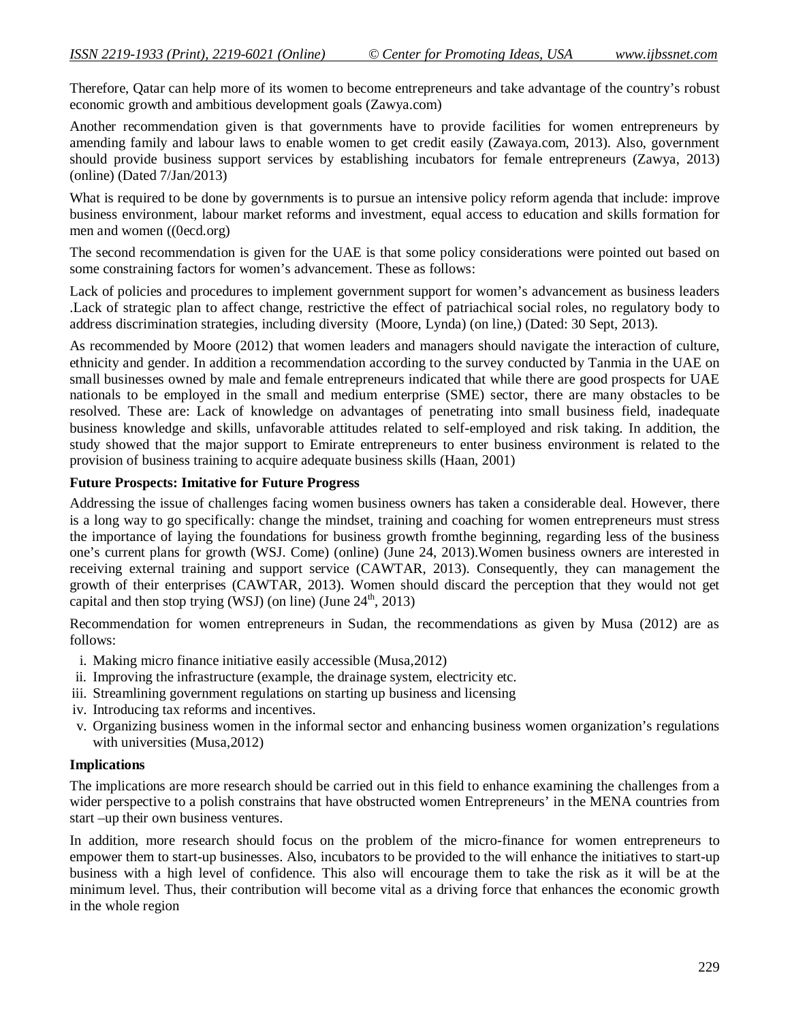Therefore, Qatar can help more of its women to become entrepreneurs and take advantage of the country's robust economic growth and ambitious development goals (Zawya.com)

Another recommendation given is that governments have to provide facilities for women entrepreneurs by amending family and labour laws to enable women to get credit easily (Zawaya.com, 2013). Also, government should provide business support services by establishing incubators for female entrepreneurs (Zawya, 2013) (online) (Dated 7/Jan/2013)

What is required to be done by governments is to pursue an intensive policy reform agenda that include: improve business environment, labour market reforms and investment, equal access to education and skills formation for men and women ((0ecd.org)

The second recommendation is given for the UAE is that some policy considerations were pointed out based on some constraining factors for women's advancement. These as follows:

Lack of policies and procedures to implement government support for women's advancement as business leaders .Lack of strategic plan to affect change, restrictive the effect of patriachical social roles, no regulatory body to address discrimination strategies, including diversity (Moore, Lynda) (on line,) (Dated: 30 Sept, 2013).

As recommended by Moore (2012) that women leaders and managers should navigate the interaction of culture, ethnicity and gender. In addition a recommendation according to the survey conducted by Tanmia in the UAE on small businesses owned by male and female entrepreneurs indicated that while there are good prospects for UAE nationals to be employed in the small and medium enterprise (SME) sector, there are many obstacles to be resolved. These are: Lack of knowledge on advantages of penetrating into small business field, inadequate business knowledge and skills, unfavorable attitudes related to self-employed and risk taking. In addition, the study showed that the major support to Emirate entrepreneurs to enter business environment is related to the provision of business training to acquire adequate business skills (Haan, 2001)

### **Future Prospects: Imitative for Future Progress**

Addressing the issue of challenges facing women business owners has taken a considerable deal. However, there is a long way to go specifically: change the mindset, training and coaching for women entrepreneurs must stress the importance of laying the foundations for business growth fromthe beginning, regarding less of the business one's current plans for growth (WSJ. Come) (online) (June 24, 2013).Women business owners are interested in receiving external training and support service (CAWTAR, 2013). Consequently, they can management the growth of their enterprises (CAWTAR, 2013). Women should discard the perception that they would not get capital and then stop trying (WSJ) (on line) (June  $24<sup>th</sup>$ , 2013)

Recommendation for women entrepreneurs in Sudan, the recommendations as given by Musa (2012) are as follows:

- i. Making micro finance initiative easily accessible (Musa,2012)
- ii. Improving the infrastructure (example, the drainage system, electricity etc.
- iii. Streamlining government regulations on starting up business and licensing
- iv. Introducing tax reforms and incentives.
- v. Organizing business women in the informal sector and enhancing business women organization's regulations with universities (Musa,2012)

### **Implications**

The implications are more research should be carried out in this field to enhance examining the challenges from a wider perspective to a polish constrains that have obstructed women Entrepreneurs' in the MENA countries from start –up their own business ventures.

In addition, more research should focus on the problem of the micro-finance for women entrepreneurs to empower them to start-up businesses. Also, incubators to be provided to the will enhance the initiatives to start-up business with a high level of confidence. This also will encourage them to take the risk as it will be at the minimum level. Thus, their contribution will become vital as a driving force that enhances the economic growth in the whole region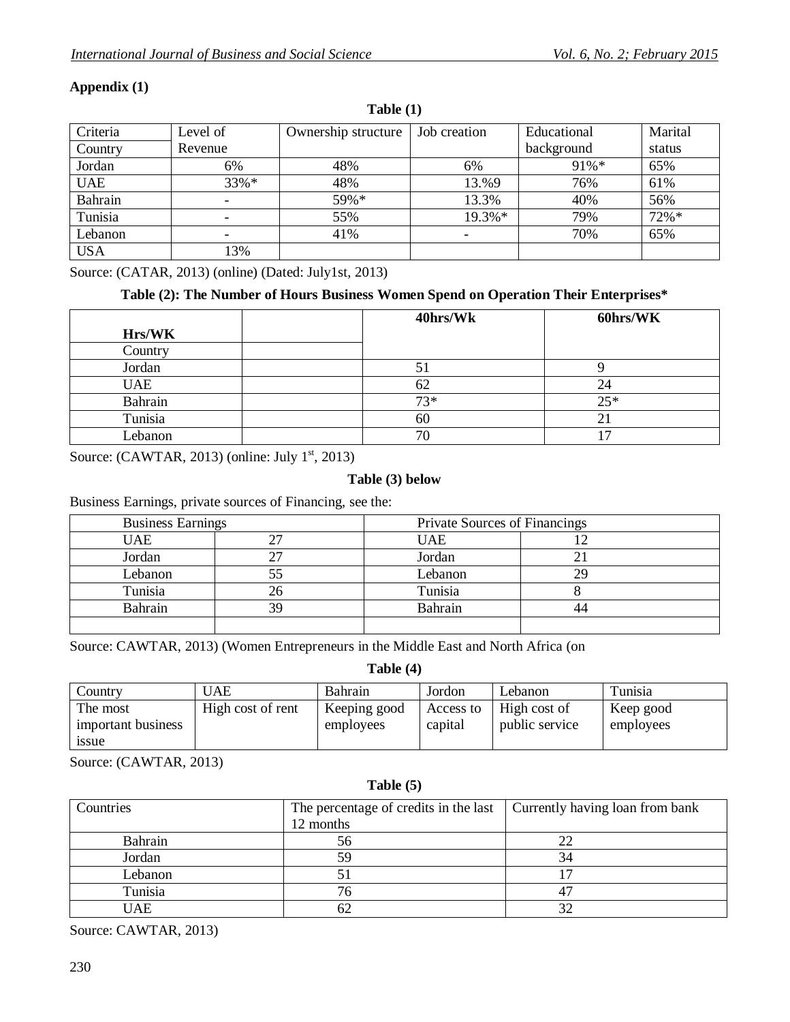| Criteria       | Level of | Ownership structure | Job creation | Educational | Marital |
|----------------|----------|---------------------|--------------|-------------|---------|
| Country        | Revenue  |                     |              | background  | status  |
| Jordan         | 6%       | 48%                 | 6%           | $91\% *$    | 65%     |
| <b>UAE</b>     | $33\%*$  | 48%                 | 13.%9        | 76%         | 61%     |
| <b>Bahrain</b> |          | 59%*                | 13.3%        | 40%         | 56%     |
| Tunisia        |          | 55%                 | $19.3\%*$    | 79%         | $72%$ * |
| Lebanon        |          | 41%                 | ۰            | 70%         | 65%     |
| <b>USA</b>     | 13%      |                     |              |             |         |

**Table (1)**

## **Appendix (1)**

Source: (CATAR, 2013) (online) (Dated: July1st, 2013)

## **Table (2): The Number of Hours Business Women Spend on Operation Their Enterprises\***

|            | 40hrs/Wk | 60hrs/WK |
|------------|----------|----------|
| Hrs/WK     |          |          |
| Country    |          |          |
| Jordan     | ЭJ       |          |
| <b>UAE</b> | 62       | 24       |
| Bahrain    | $73*$    | $25*$    |
| Tunisia    | 60       |          |
| Lebanon    | 70       | −        |

Source: (CAWTAR, 2013) (online: July  $1<sup>st</sup>$ , 2013)

### **Table (3) below**

Business Earnings, private sources of Financing, see the:

| <b>Business Earnings</b> |  | Private Sources of Financings |  |
|--------------------------|--|-------------------------------|--|
| UAE                      |  | UAE                           |  |
| Jordan                   |  | Jordan                        |  |
| Lebanon                  |  | Lebanon                       |  |
| Tunisia                  |  | Tunisia                       |  |
| <b>Bahrain</b>           |  | Bahrain                       |  |
|                          |  |                               |  |

Source: CAWTAR, 2013) (Women Entrepreneurs in the Middle East and North Africa (on

| Table (4) |  |
|-----------|--|
|-----------|--|

| Country            | UAE               | Bahrain      | Jordon    | Lebanon        | Tunisia   |
|--------------------|-------------------|--------------|-----------|----------------|-----------|
| The most           | High cost of rent | Keeping good | Access to | High cost of   | Keep good |
| important business |                   | employees    | capital   | public service | employees |
| <i>ssue</i>        |                   |              |           |                |           |

Source: (CAWTAR, 2013)

#### **Table (5)**

| Countries | The percentage of credits in the last $\vert$ Currently having loan from bank |    |
|-----------|-------------------------------------------------------------------------------|----|
|           | 12 months                                                                     |    |
| Bahrain   | 56                                                                            | 22 |
| Jordan    | 59                                                                            | 34 |
| Lebanon   |                                                                               |    |
| Tunisia   | 76                                                                            |    |
| UAE       |                                                                               | 32 |

Source: CAWTAR, 2013)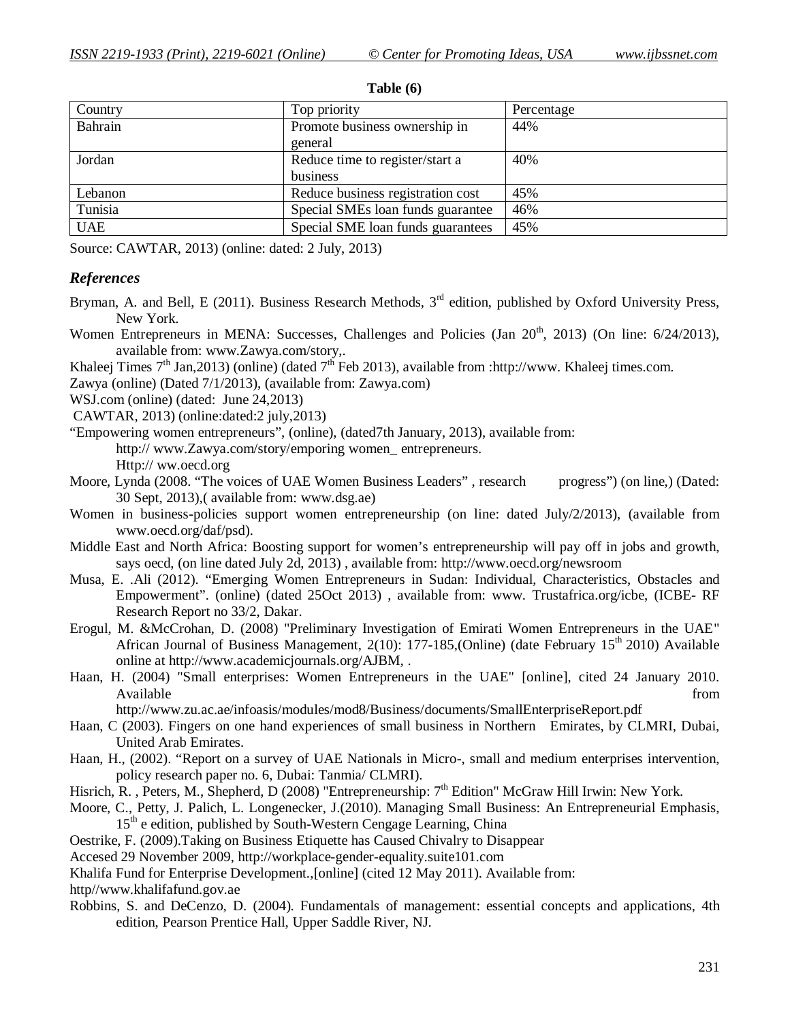| Country    | Top priority                      | Percentage |
|------------|-----------------------------------|------------|
| Bahrain    | Promote business ownership in     | 44%        |
|            | general                           |            |
| Jordan     | Reduce time to register/start a   | 40%        |
|            | business                          |            |
| Lebanon    | Reduce business registration cost | 45%        |
| Tunisia    | Special SMEs loan funds guarantee | 46%        |
| <b>UAE</b> | Special SME loan funds guarantees | 45%        |

**Table (6)**

Source: CAWTAR, 2013) (online: dated: 2 July, 2013)

### *References*

- Bryman, A. and Bell, E (2011). Business Research Methods,  $3<sup>rd</sup>$  edition, published by Oxford University Press, New York.
- Women Entrepreneurs in MENA: Successes, Challenges and Policies (Jan  $20<sup>th</sup>$ , 2013) (On line:  $6/24/2013$ ), available from: www.Zawya.com/story,.
- Khaleej Times  $7<sup>th</sup>$  Jan, 2013) (online) (dated  $7<sup>th</sup>$  Feb 2013), available from :http://www. Khaleej times.com.
- Zawya (online) (Dated 7/1/2013), (available from: Zawya.com)

WSJ.com (online) (dated: June 24,2013)

- CAWTAR, 2013) (online:dated:2 july,2013)
- "Empowering women entrepreneurs", (online), (dated7th January, 2013), available from: http:// www.Zawya.com/story/emporing women\_ entrepreneurs. Http:// ww.oecd.org
- Moore, Lynda (2008. "The voices of UAE Women Business Leaders" , research progress") (on line,) (Dated: 30 Sept, 2013),( available from: www.dsg.ae)
- Women in business-policies support women entrepreneurship (on line: dated July/2/2013), (available from www.oecd.org/daf/psd).
- Middle East and North Africa: Boosting support for women's entrepreneurship will pay off in jobs and growth, says oecd, (on line dated July 2d, 2013) , available from: http://www.oecd.org/newsroom
- Musa, E. .Ali (2012). "Emerging Women Entrepreneurs in Sudan: Individual, Characteristics, Obstacles and Empowerment". (online) (dated 25Oct 2013) , available from: www. Trustafrica.org/icbe, (ICBE- RF Research Report no 33/2, Dakar.
- Erogul, M. &McCrohan, D. (2008) "Preliminary Investigation of Emirati Women Entrepreneurs in the UAE" African Journal of Business Management,  $2(10)$ : 177-185, (Online) (date February 15<sup>th</sup> 2010) Available online at http://www.academicjournals.org/AJBM, .
- Haan, H. (2004) "Small enterprises: Women Entrepreneurs in the UAE" [online], cited 24 January 2010. Available from the state of the state of the state of the state of the state of the state of the state of the state of the state of the state of the state of the state of the state of the state of the state of the state of

http://www.zu.ac.ae/infoasis/modules/mod8/Business/documents/SmallEnterpriseReport.pdf

- Haan, C (2003). Fingers on one hand experiences of small business in Northern Emirates, by CLMRI, Dubai, United Arab Emirates.
- Haan, H., (2002). "Report on a survey of UAE Nationals in Micro-, small and medium enterprises intervention, policy research paper no. 6, Dubai: Tanmia/ CLMRI).
- Hisrich, R., Peters, M., Shepherd, D (2008) "Entrepreneurship:  $7<sup>th</sup>$  Edition" McGraw Hill Irwin: New York.
- Moore, C., Petty, J. Palich, L. Longenecker, J.(2010). Managing Small Business: An Entrepreneurial Emphasis, 15<sup>th</sup> e edition, published by South-Western Cengage Learning, China
- Oestrike, F. (2009).Taking on Business Etiquette has Caused Chivalry to Disappear

Accesed 29 November 2009, http://workplace-gender-equality.suite101.com

Khalifa Fund for Enterprise Development.,[online] (cited 12 May 2011). Available from:

http//www.khalifafund.gov.ae

Robbins, S. and DeCenzo, D. (2004). Fundamentals of management: essential concepts and applications, 4th edition, Pearson Prentice Hall, Upper Saddle River, NJ.